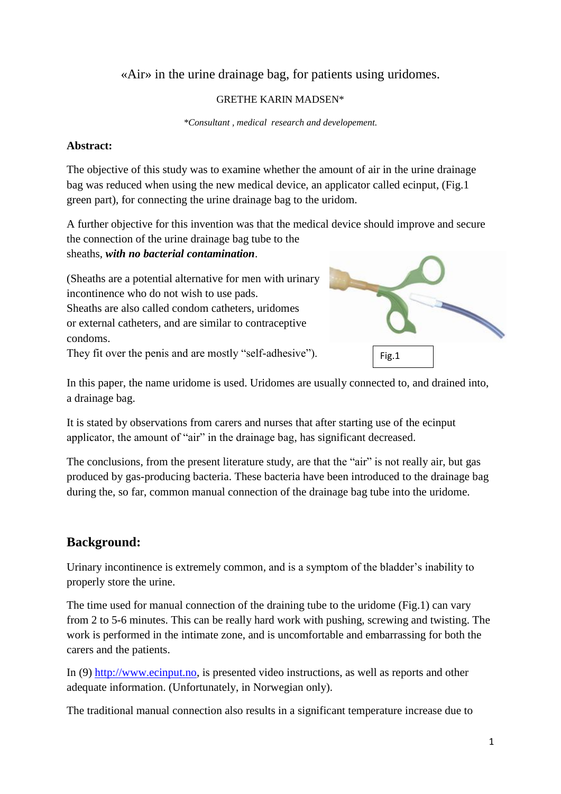## «Air» in the urine drainage bag, for patients using uridomes.

#### GRETHE KARIN MADSEN\*

*\*Consultant , medical research and developement.*

#### **Abstract:**

The objective of this study was to examine whether the amount of air in the urine drainage bag was reduced when using the new medical device, an applicator called ecinput, (Fig.1 green part), for connecting the urine drainage bag to the uridom.

A further objective for this invention was that the medical device should improve and secure the connection of the urine drainage bag tube to the

sheaths, *with no bacterial contamination*.

(Sheaths are a potential alternative for men with urinary incontinence who do not wish to use pads. Sheaths are also called condom catheters, uridomes or external catheters, and are similar to contraceptive condoms.

They fit over the penis and are mostly "self-adhesive").



In this paper, the name uridome is used. Uridomes are usually connected to, and drained into, a drainage bag.

It is stated by observations from carers and nurses that after starting use of the ecinput applicator, the amount of "air" in the drainage bag, has significant decreased.

The conclusions, from the present literature study, are that the "air" is not really air, but gas produced by gas-producing bacteria. These bacteria have been introduced to the drainage bag during the, so far, common manual connection of the drainage bag tube into the uridome.

# **Background:**

Urinary incontinence is extremely common, and is a symptom of the bladder's inability to properly store the urine.

The time used for manual connection of the draining tube to the uridome (Fig.1) can vary from 2 to 5-6 minutes. This can be really hard work with pushing, screwing and twisting. The work is performed in the intimate zone, and is uncomfortable and embarrassing for both the carers and the patients.

In (9) [http://www.ecinput.no,](http://www.ecinput.no/) is presented video instructions, as well as reports and other adequate information. (Unfortunately, in Norwegian only).

The traditional manual connection also results in a significant temperature increase due to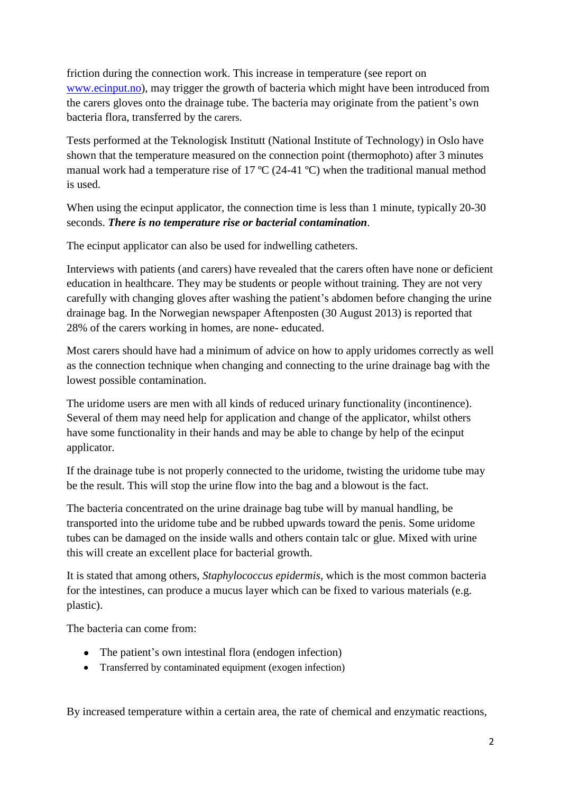friction during the connection work. This increase in temperature (see report on [www.ecinput.no\)](http://www.ecinput.no/), may trigger the growth of bacteria which might have been introduced from the carers gloves onto the drainage tube. The bacteria may originate from the patient's own bacteria flora, transferred by the carers.

Tests performed at the Teknologisk Institutt (National Institute of Technology) in Oslo have shown that the temperature measured on the connection point (thermophoto) after 3 minutes manual work had a temperature rise of 17 ºC (24-41 ºC) when the traditional manual method is used.

When using the ecinput applicator, the connection time is less than 1 minute, typically 20-30 seconds. *There is no temperature rise or bacterial contamination.*

The ecinput applicator can also be used for indwelling catheters.

Interviews with patients (and carers) have revealed that the carers often have none or deficient education in healthcare. They may be students or people without training. They are not very carefully with changing gloves after washing the patient's abdomen before changing the urine drainage bag. In the Norwegian newspaper Aftenposten (30 August 2013) is reported that 28% of the carers working in homes, are none- educated.

Most carers should have had a minimum of advice on how to apply uridomes correctly as well as the connection technique when changing and connecting to the urine drainage bag with the lowest possible contamination.

The uridome users are men with all kinds of reduced urinary functionality (incontinence). Several of them may need help for application and change of the applicator, whilst others have some functionality in their hands and may be able to change by help of the ecinput applicator.

If the drainage tube is not properly connected to the uridome, twisting the uridome tube may be the result. This will stop the urine flow into the bag and a blowout is the fact.

The bacteria concentrated on the urine drainage bag tube will by manual handling, be transported into the uridome tube and be rubbed upwards toward the penis. Some uridome tubes can be damaged on the inside walls and others contain talc or glue. Mixed with urine this will create an excellent place for bacterial growth.

It is stated that among others, *Staphylococcus epidermis*, which is the most common bacteria for the intestines, can produce a mucus layer which can be fixed to various materials (e.g. plastic).

The bacteria can come from:

- The patient's own intestinal flora (endogen infection)
- Transferred by contaminated equipment (exogen infection)

By increased temperature within a certain area, the rate of chemical and enzymatic reactions,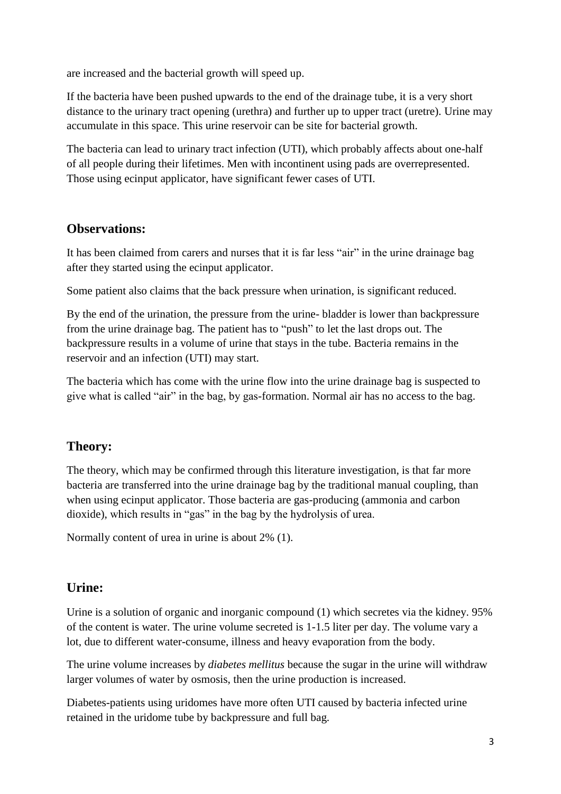are increased and the bacterial growth will speed up.

If the bacteria have been pushed upwards to the end of the drainage tube, it is a very short distance to the urinary tract opening (urethra) and further up to upper tract (uretre). Urine may accumulate in this space. This urine reservoir can be site for bacterial growth.

The bacteria can lead to urinary tract infection (UTI), which probably affects about one-half of all people during their lifetimes. Men with incontinent using pads are overrepresented. Those using ecinput applicator, have significant fewer cases of UTI.

## **Observations:**

It has been claimed from carers and nurses that it is far less "air" in the urine drainage bag after they started using the ecinput applicator.

Some patient also claims that the back pressure when urination, is significant reduced.

By the end of the urination, the pressure from the urine- bladder is lower than backpressure from the urine drainage bag. The patient has to "push" to let the last drops out. The backpressure results in a volume of urine that stays in the tube. Bacteria remains in the reservoir and an infection (UTI) may start.

The bacteria which has come with the urine flow into the urine drainage bag is suspected to give what is called "air" in the bag, by gas-formation. Normal air has no access to the bag.

# **Theory:**

The theory, which may be confirmed through this literature investigation, is that far more bacteria are transferred into the urine drainage bag by the traditional manual coupling, than when using ecinput applicator. Those bacteria are gas-producing (ammonia and carbon dioxide), which results in "gas" in the bag by the hydrolysis of urea.

Normally content of urea in urine is about 2% (1).

### **Urine:**

Urine is a solution of organic and inorganic compound (1) which secretes via the kidney. 95% of the content is water. The urine volume secreted is 1-1.5 liter per day. The volume vary a lot, due to different water-consume, illness and heavy evaporation from the body.

The urine volume increases by *diabetes mellitus* because the sugar in the urine will withdraw larger volumes of water by osmosis, then the urine production is increased.

Diabetes-patients using uridomes have more often UTI caused by bacteria infected urine retained in the uridome tube by backpressure and full bag.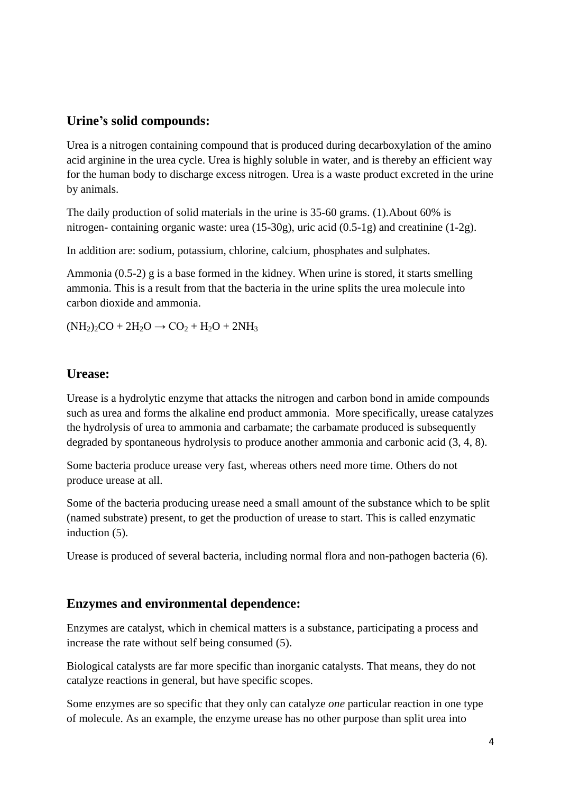## **Urine's solid compounds:**

Urea is a nitrogen containing compound that is produced during decarboxylation of the amino acid arginine in the urea cycle. Urea is highly soluble in water, and is thereby an efficient way for the human body to discharge excess nitrogen. Urea is a waste product excreted in the urine by animals.

The daily production of solid materials in the urine is 35-60 grams. (1).About 60% is nitrogen- containing organic waste: urea (15-30g), uric acid (0.5-1g) and creatinine (1-2g).

In addition are: sodium, potassium, chlorine, calcium, phosphates and sulphates.

Ammonia (0.5-2) g is a base formed in the kidney. When urine is stored, it starts smelling ammonia. This is a result from that the bacteria in the urine splits the urea molecule into carbon dioxide and ammonia.

 $(NH_2)_2CO + 2H_2O \rightarrow CO_2 + H_2O + 2NH_3$ 

### **Urease:**

Urease is a hydrolytic enzyme that attacks the nitrogen and carbon bond in amide compounds such as urea and forms the alkaline end product ammonia. More specifically, urease catalyzes the hydrolysis of urea to ammonia and carbamate; the carbamate produced is subsequently degraded by spontaneous hydrolysis to produce another ammonia and carbonic acid (3, 4, 8).

Some bacteria produce urease very fast, whereas others need more time. Others do not produce urease at all.

Some of the bacteria producing urease need a small amount of the substance which to be split (named substrate) present, to get the production of urease to start. This is called enzymatic induction (5).

Urease is produced of several bacteria, including normal flora and non-pathogen bacteria (6).

### **Enzymes and environmental dependence:**

Enzymes are catalyst, which in chemical matters is a substance, participating a process and increase the rate without self being consumed (5).

Biological catalysts are far more specific than inorganic catalysts. That means, they do not catalyze reactions in general, but have specific scopes.

Some enzymes are so specific that they only can catalyze *one* particular reaction in one type of molecule. As an example, the enzyme urease has no other purpose than split urea into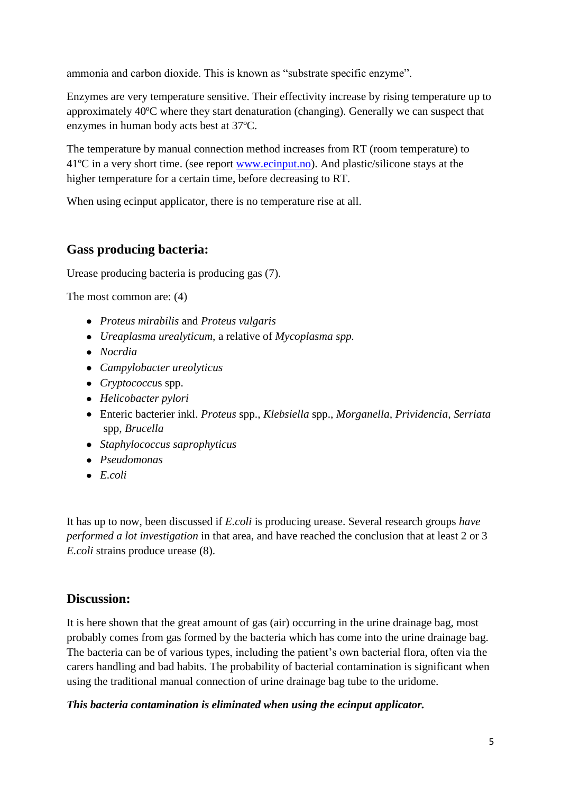ammonia and carbon dioxide. This is known as "substrate specific enzyme".

Enzymes are very temperature sensitive. Their effectivity increase by rising temperature up to approximately 40ºC where they start denaturation (changing). Generally we can suspect that enzymes in human body acts best at 37ºC.

The temperature by manual connection method increases from RT (room temperature) to 41ºC in a very short time. (see report [www.ecinput.no\)](http://www.ecinput.no/). And plastic/silicone stays at the higher temperature for a certain time, before decreasing to RT.

When using ecinput applicator, there is no temperature rise at all.

# **Gass producing bacteria:**

Urease producing bacteria is producing gas (7).

The most common are: (4)

- *Proteus mirabilis* and *Proteus vulgaris*
- *Ureaplasma urealyticum*, a relative of *Mycoplasma spp.*
- *Nocrdia*
- *Campylobacter ureolyticus*
- *Cryptococcu*s spp.
- *Helicobacter pylori*
- Enteric bacterier inkl. *Proteus* spp., *Klebsiella* spp., *Morganella, Prividencia, Serriata* spp*, Brucella*
- *Staphylococcus saprophyticus*
- *Pseudomonas*
- *E.coli*

It has up to now, been discussed if *E.coli* is producing urease. Several research groups *have performed a lot investigation* in that area, and have reached the conclusion that at least 2 or 3 *E.coli* strains produce urease (8).

### **Discussion:**

It is here shown that the great amount of gas (air) occurring in the urine drainage bag, most probably comes from gas formed by the bacteria which has come into the urine drainage bag. The bacteria can be of various types, including the patient's own bacterial flora, often via the carers handling and bad habits. The probability of bacterial contamination is significant when using the traditional manual connection of urine drainage bag tube to the uridome.

*This bacteria contamination is eliminated when using the ecinput applicator.*